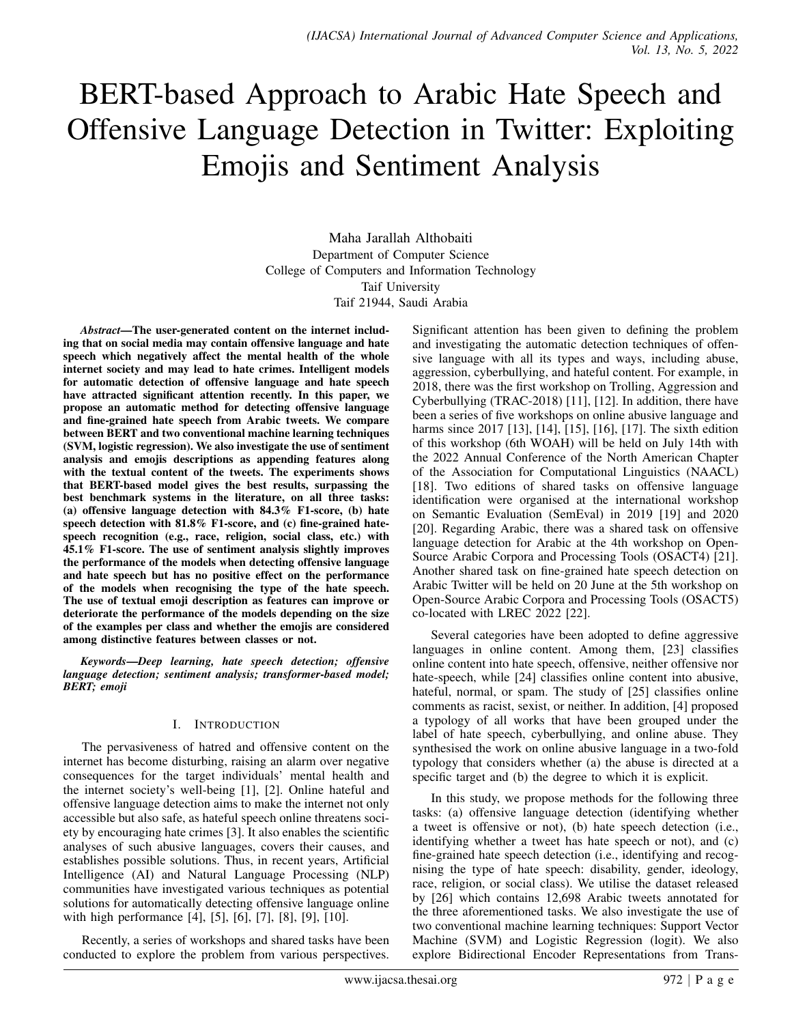# BERT-based Approach to Arabic Hate Speech and Offensive Language Detection in Twitter: Exploiting Emojis and Sentiment Analysis

Maha Jarallah Althobaiti Department of Computer Science College of Computers and Information Technology Taif University Taif 21944, Saudi Arabia

*Abstract*—The user-generated content on the internet including that on social media may contain offensive language and hate speech which negatively affect the mental health of the whole internet society and may lead to hate crimes. Intelligent models for automatic detection of offensive language and hate speech have attracted significant attention recently. In this paper, we propose an automatic method for detecting offensive language and fine-grained hate speech from Arabic tweets. We compare between BERT and two conventional machine learning techniques (SVM, logistic regression). We also investigate the use of sentiment analysis and emojis descriptions as appending features along with the textual content of the tweets. The experiments shows that BERT-based model gives the best results, surpassing the best benchmark systems in the literature, on all three tasks: (a) offensive language detection with 84.3% F1-score, (b) hate speech detection with 81.8% F1-score, and (c) fine-grained hatespeech recognition (e.g., race, religion, social class, etc.) with 45.1% F1-score. The use of sentiment analysis slightly improves the performance of the models when detecting offensive language and hate speech but has no positive effect on the performance of the models when recognising the type of the hate speech. The use of textual emoji description as features can improve or deteriorate the performance of the models depending on the size of the examples per class and whether the emojis are considered among distinctive features between classes or not.

*Keywords*—*Deep learning, hate speech detection; offensive language detection; sentiment analysis; transformer-based model; BERT; emoji*

#### I. INTRODUCTION

The pervasiveness of hatred and offensive content on the internet has become disturbing, raising an alarm over negative consequences for the target individuals' mental health and the internet society's well-being [1], [2]. Online hateful and offensive language detection aims to make the internet not only accessible but also safe, as hateful speech online threatens society by encouraging hate crimes [3]. It also enables the scientific analyses of such abusive languages, covers their causes, and establishes possible solutions. Thus, in recent years, Artificial Intelligence (AI) and Natural Language Processing (NLP) communities have investigated various techniques as potential solutions for automatically detecting offensive language online with high performance [4], [5], [6], [7], [8], [9], [10].

Recently, a series of workshops and shared tasks have been conducted to explore the problem from various perspectives.

Significant attention has been given to defining the problem and investigating the automatic detection techniques of offensive language with all its types and ways, including abuse, aggression, cyberbullying, and hateful content. For example, in 2018, there was the first workshop on Trolling, Aggression and Cyberbullying (TRAC-2018) [11], [12]. In addition, there have been a series of five workshops on online abusive language and harms since 2017 [13], [14], [15], [16], [17]. The sixth edition of this workshop (6th WOAH) will be held on July 14th with the 2022 Annual Conference of the North American Chapter of the Association for Computational Linguistics (NAACL) [18]. Two editions of shared tasks on offensive language identification were organised at the international workshop on Semantic Evaluation (SemEval) in 2019 [19] and 2020 [20]. Regarding Arabic, there was a shared task on offensive language detection for Arabic at the 4th workshop on Open-Source Arabic Corpora and Processing Tools (OSACT4) [21]. Another shared task on fine-grained hate speech detection on Arabic Twitter will be held on 20 June at the 5th workshop on Open-Source Arabic Corpora and Processing Tools (OSACT5) co-located with LREC 2022 [22].

Several categories have been adopted to define aggressive languages in online content. Among them, [23] classifies online content into hate speech, offensive, neither offensive nor hate-speech, while [24] classifies online content into abusive, hateful, normal, or spam. The study of [25] classifies online comments as racist, sexist, or neither. In addition, [4] proposed a typology of all works that have been grouped under the label of hate speech, cyberbullying, and online abuse. They synthesised the work on online abusive language in a two-fold typology that considers whether (a) the abuse is directed at a specific target and (b) the degree to which it is explicit.

In this study, we propose methods for the following three tasks: (a) offensive language detection (identifying whether a tweet is offensive or not), (b) hate speech detection (i.e., identifying whether a tweet has hate speech or not), and (c) fine-grained hate speech detection (i.e., identifying and recognising the type of hate speech: disability, gender, ideology, race, religion, or social class). We utilise the dataset released by [26] which contains 12,698 Arabic tweets annotated for the three aforementioned tasks. We also investigate the use of two conventional machine learning techniques: Support Vector Machine (SVM) and Logistic Regression (logit). We also explore Bidirectional Encoder Representations from Trans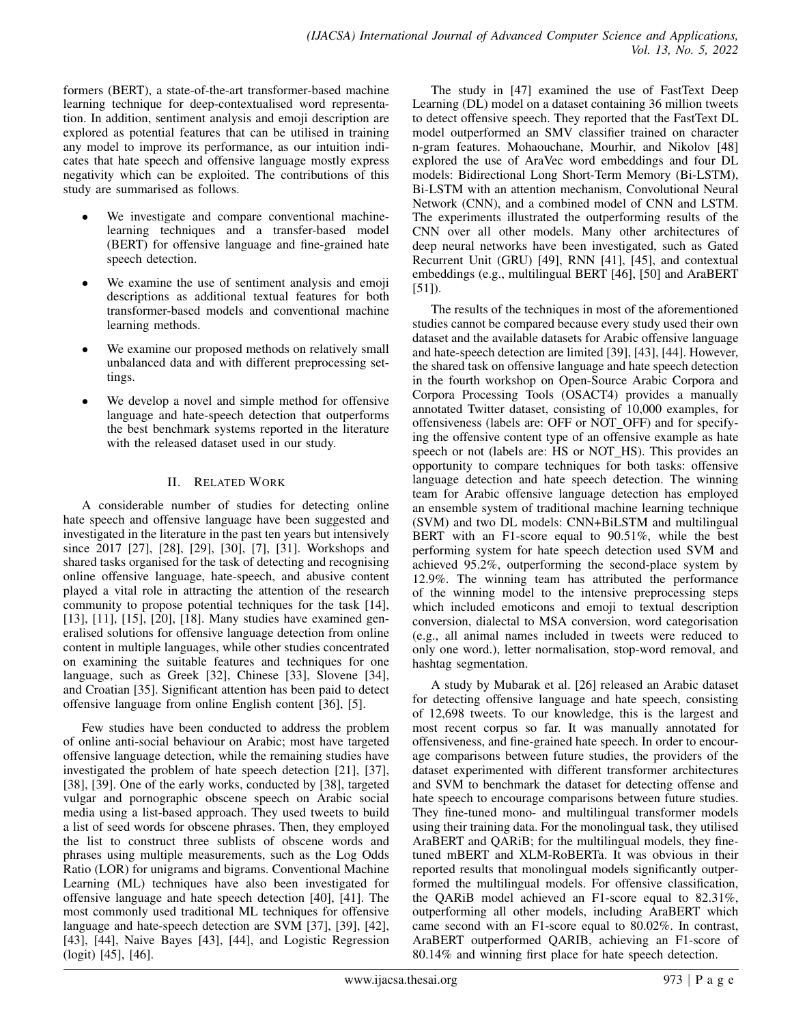formers (BERT), a state-of-the-art transformer-based machine learning technique for deep-contextualised word representation. In addition, sentiment analysis and emoji description are explored as potential features that can be utilised in training any model to improve its performance, as our intuition indicates that hate speech and offensive language mostly express negativity which can be exploited. The contributions of this study are summarised as follows.

- We investigate and compare conventional machinelearning techniques and a transfer-based model (BERT) for offensive language and fine-grained hate speech detection.
- We examine the use of sentiment analysis and emoji descriptions as additional textual features for both transformer-based models and conventional machine learning methods.
- We examine our proposed methods on relatively small unbalanced data and with different preprocessing settings.
- We develop a novel and simple method for offensive language and hate-speech detection that outperforms the best benchmark systems reported in the literature with the released dataset used in our study.

## II. RELATED WORK

A considerable number of studies for detecting online hate speech and offensive language have been suggested and investigated in the literature in the past ten years but intensively since 2017 [27], [28], [29], [30], [7], [31]. Workshops and shared tasks organised for the task of detecting and recognising online offensive language, hate-speech, and abusive content played a vital role in attracting the attention of the research community to propose potential techniques for the task [14], [13], [11], [15], [20], [18]. Many studies have examined generalised solutions for offensive language detection from online content in multiple languages, while other studies concentrated on examining the suitable features and techniques for one language, such as Greek [32], Chinese [33], Slovene [34], and Croatian [35]. Significant attention has been paid to detect offensive language from online English content [36], [5].

Few studies have been conducted to address the problem of online anti-social behaviour on Arabic; most have targeted offensive language detection, while the remaining studies have investigated the problem of hate speech detection [21], [37], [38], [39]. One of the early works, conducted by [38], targeted vulgar and pornographic obscene speech on Arabic social media using a list-based approach. They used tweets to build a list of seed words for obscene phrases. Then, they employed the list to construct three sublists of obscene words and phrases using multiple measurements, such as the Log Odds Ratio (LOR) for unigrams and bigrams. Conventional Machine Learning (ML) techniques have also been investigated for offensive language and hate speech detection [40], [41]. The most commonly used traditional ML techniques for offensive language and hate-speech detection are SVM [37], [39], [42], [43], [44], Naive Bayes [43], [44], and Logistic Regression (logit) [45], [46].

The study in [47] examined the use of FastText Deep Learning (DL) model on a dataset containing 36 million tweets to detect offensive speech. They reported that the FastText DL model outperformed an SMV classifier trained on character n-gram features. Mohaouchane, Mourhir, and Nikolov [48] explored the use of AraVec word embeddings and four DL models: Bidirectional Long Short-Term Memory (Bi-LSTM), Bi-LSTM with an attention mechanism, Convolutional Neural Network (CNN), and a combined model of CNN and LSTM. The experiments illustrated the outperforming results of the CNN over all other models. Many other architectures of deep neural networks have been investigated, such as Gated Recurrent Unit (GRU) [49], RNN [41], [45], and contextual embeddings (e.g., multilingual BERT [46], [50] and AraBERT [51]).

The results of the techniques in most of the aforementioned studies cannot be compared because every study used their own dataset and the available datasets for Arabic offensive language and hate-speech detection are limited [39], [43], [44]. However, the shared task on offensive language and hate speech detection in the fourth workshop on Open-Source Arabic Corpora and Corpora Processing Tools (OSACT4) provides a manually annotated Twitter dataset, consisting of 10,000 examples, for offensiveness (labels are: OFF or NOT OFF) and for specifying the offensive content type of an offensive example as hate speech or not (labels are: HS or NOT\_HS). This provides an opportunity to compare techniques for both tasks: offensive language detection and hate speech detection. The winning team for Arabic offensive language detection has employed an ensemble system of traditional machine learning technique (SVM) and two DL models: CNN+BiLSTM and multilingual BERT with an F1-score equal to 90.51%, while the best performing system for hate speech detection used SVM and achieved 95.2%, outperforming the second-place system by 12.9%. The winning team has attributed the performance of the winning model to the intensive preprocessing steps which included emoticons and emoji to textual description conversion, dialectal to MSA conversion, word categorisation (e.g., all animal names included in tweets were reduced to only one word.), letter normalisation, stop-word removal, and hashtag segmentation.

A study by Mubarak et al. [26] released an Arabic dataset for detecting offensive language and hate speech, consisting of 12,698 tweets. To our knowledge, this is the largest and most recent corpus so far. It was manually annotated for offensiveness, and fine-grained hate speech. In order to encourage comparisons between future studies, the providers of the dataset experimented with different transformer architectures and SVM to benchmark the dataset for detecting offense and hate speech to encourage comparisons between future studies. They fine-tuned mono- and multilingual transformer models using their training data. For the monolingual task, they utilised AraBERT and QARiB; for the multilingual models, they finetuned mBERT and XLM-RoBERTa. It was obvious in their reported results that monolingual models significantly outperformed the multilingual models. For offensive classification, the QARiB model achieved an F1-score equal to 82.31%, outperforming all other models, including AraBERT which came second with an F1-score equal to 80.02%. In contrast, AraBERT outperformed QARIB, achieving an F1-score of 80.14% and winning first place for hate speech detection.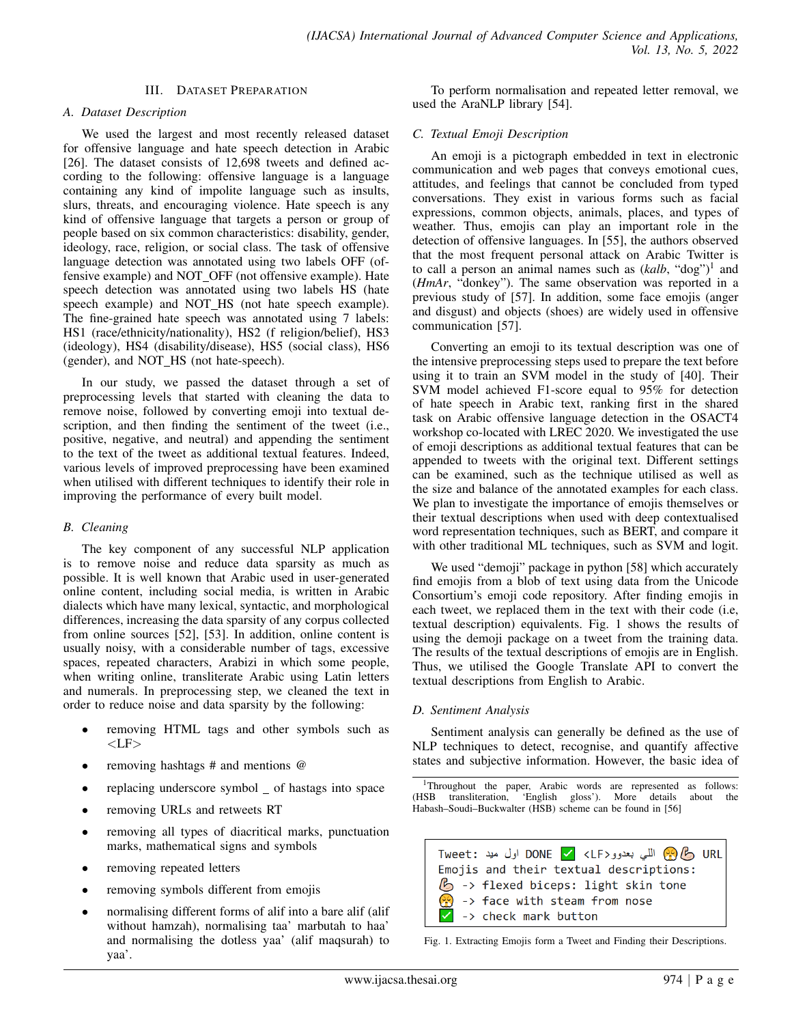#### III. DATASET PREPARATION

#### *A. Dataset Description*

We used the largest and most recently released dataset for offensive language and hate speech detection in Arabic [26]. The dataset consists of 12,698 tweets and defined according to the following: offensive language is a language containing any kind of impolite language such as insults, slurs, threats, and encouraging violence. Hate speech is any kind of offensive language that targets a person or group of people based on six common characteristics: disability, gender, ideology, race, religion, or social class. The task of offensive language detection was annotated using two labels OFF (offensive example) and NOT OFF (not offensive example). Hate speech detection was annotated using two labels HS (hate speech example) and NOT\_HS (not hate speech example). The fine-grained hate speech was annotated using 7 labels: HS1 (race/ethnicity/nationality), HS2 (f religion/belief), HS3 (ideology), HS4 (disability/disease), HS5 (social class), HS6 (gender), and NOT\_HS (not hate-speech).

In our study, we passed the dataset through a set of preprocessing levels that started with cleaning the data to remove noise, followed by converting emoji into textual description, and then finding the sentiment of the tweet (i.e., positive, negative, and neutral) and appending the sentiment to the text of the tweet as additional textual features. Indeed, various levels of improved preprocessing have been examined when utilised with different techniques to identify their role in improving the performance of every built model.

#### *B. Cleaning*

The key component of any successful NLP application is to remove noise and reduce data sparsity as much as possible. It is well known that Arabic used in user-generated online content, including social media, is written in Arabic dialects which have many lexical, syntactic, and morphological differences, increasing the data sparsity of any corpus collected from online sources [52], [53]. In addition, online content is usually noisy, with a considerable number of tags, excessive spaces, repeated characters, Arabizi in which some people, when writing online, transliterate Arabic using Latin letters and numerals. In preprocessing step, we cleaned the text in order to reduce noise and data sparsity by the following:

- removing HTML tags and other symbols such as  $<$ LF $>$
- removing hashtags # and mentions @
- replacing underscore symbol  $\angle$  of hastags into space
- removing URLs and retweets RT
- removing all types of diacritical marks, punctuation marks, mathematical signs and symbols
- removing repeated letters
- removing symbols different from emojis
- normalising different forms of alif into a bare alif (alif without hamzah), normalising taa' marbutah to haa' and normalising the dotless yaa' (alif maqsurah) to yaa'.

To perform normalisation and repeated letter removal, we used the AraNLP library [54].

### *C. Textual Emoji Description*

An emoji is a pictograph embedded in text in electronic communication and web pages that conveys emotional cues, attitudes, and feelings that cannot be concluded from typed conversations. They exist in various forms such as facial expressions, common objects, animals, places, and types of weather. Thus, emojis can play an important role in the detection of offensive languages. In [55], the authors observed that the most frequent personal attack on Arabic Twitter is to call a person an animal names such as  $(kalb, "dog")^1$  and (*HmAr*, "donkey"). The same observation was reported in a previous study of [57]. In addition, some face emojis (anger and disgust) and objects (shoes) are widely used in offensive communication [57].

Converting an emoji to its textual description was one of the intensive preprocessing steps used to prepare the text before using it to train an SVM model in the study of [40]. Their SVM model achieved F1-score equal to 95% for detection of hate speech in Arabic text, ranking first in the shared task on Arabic offensive language detection in the OSACT4 workshop co-located with LREC 2020. We investigated the use of emoji descriptions as additional textual features that can be appended to tweets with the original text. Different settings can be examined, such as the technique utilised as well as the size and balance of the annotated examples for each class. We plan to investigate the importance of emojis themselves or their textual descriptions when used with deep contextualised word representation techniques, such as BERT, and compare it with other traditional ML techniques, such as SVM and logit.

We used "demoji" package in python [58] which accurately find emojis from a blob of text using data from the Unicode Consortium's emoji code repository. After finding emojis in each tweet, we replaced them in the text with their code (i.e, textual description) equivalents. Fig. 1 shows the results of using the demoji package on a tweet from the training data. The results of the textual descriptions of emojis are in English. Thus, we utilised the Google Translate API to convert the textual descriptions from English to Arabic.

#### *D. Sentiment Analysis*

Sentiment analysis can generally be defined as the use of NLP techniques to detect, recognise, and quantify affective states and subjective information. However, the basic idea of

<sup>1</sup>Throughout the paper, Arabic words are represented as follows: (HSB transliteration, 'English gloss'). More details about the Habash–Soudi–Buckwalter (HSB) scheme can be found in [56]



Fig. 1. Extracting Emojis form a Tweet and Finding their Descriptions.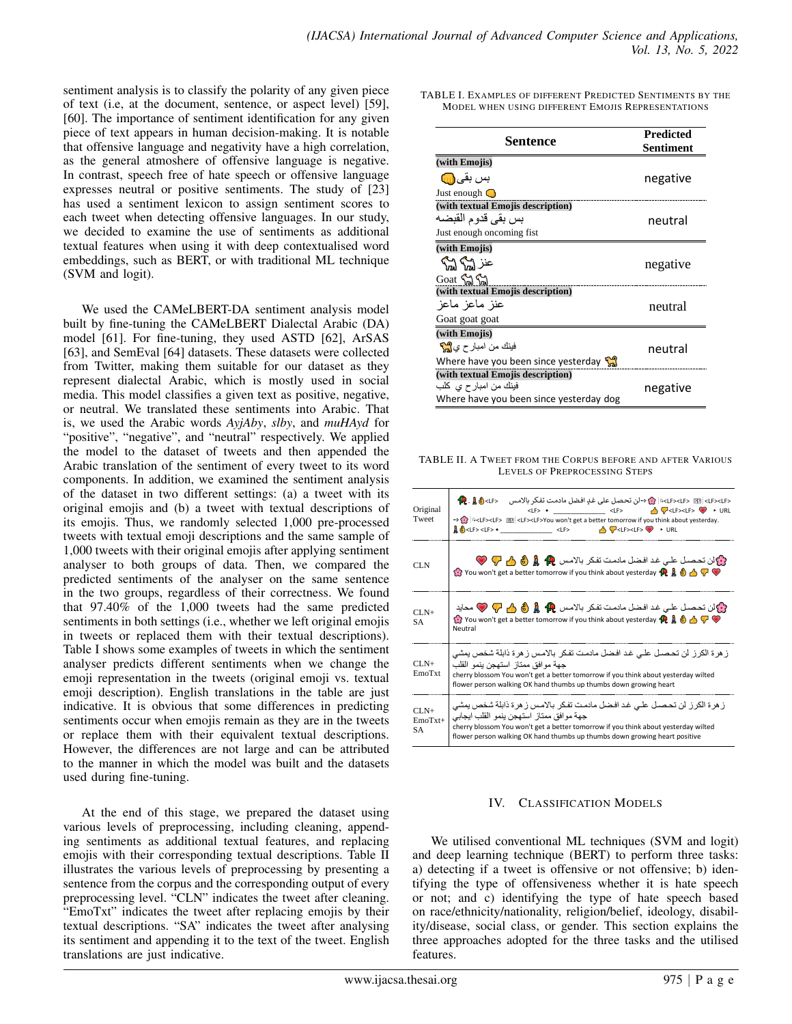sentiment analysis is to classify the polarity of any given piece of text (i.e, at the document, sentence, or aspect level) [59], [60]. The importance of sentiment identification for any given piece of text appears in human decision-making. It is notable that offensive language and negativity have a high correlation, as the general atmoshere of offensive language is negative. In contrast, speech free of hate speech or offensive language expresses neutral or positive sentiments. The study of [23] has used a sentiment lexicon to assign sentiment scores to each tweet when detecting offensive languages. In our study, we decided to examine the use of sentiments as additional textual features when using it with deep contextualised word embeddings, such as BERT, or with traditional ML technique (SVM and logit).

We used the CAMeLBERT-DA sentiment analysis model built by fine-tuning the CAMeLBERT Dialectal Arabic (DA) model [61]. For fine-tuning, they used ASTD [62], ArSAS [63], and SemEval [64] datasets. These datasets were collected from Twitter, making them suitable for our dataset as they represent dialectal Arabic, which is mostly used in social media. This model classifies a given text as positive, negative, or neutral. We translated these sentiments into Arabic. That is, we used the Arabic words *AyjAby*, *slby*, and *muHAyd* for "positive", "negative", and "neutral" respectively. We applied the model to the dataset of tweets and then appended the Arabic translation of the sentiment of every tweet to its word components. In addition, we examined the sentiment analysis of the dataset in two different settings: (a) a tweet with its original emojis and (b) a tweet with textual descriptions of its emojis. Thus, we randomly selected 1,000 pre-processed tweets with textual emoji descriptions and the same sample of 1,000 tweets with their original emojis after applying sentiment analyser to both groups of data. Then, we compared the predicted sentiments of the analyser on the same sentence in the two groups, regardless of their correctness. We found that 97.40% of the 1,000 tweets had the same predicted sentiments in both settings (i.e., whether we left original emojis in tweets or replaced them with their textual descriptions). Table I shows some examples of tweets in which the sentiment analyser predicts different sentiments when we change the emoji representation in the tweets (original emoji vs. textual emoji description). English translations in the table are just indicative. It is obvious that some differences in predicting sentiments occur when emojis remain as they are in the tweets or replace them with their equivalent textual descriptions. However, the differences are not large and can be attributed to the manner in which the model was built and the datasets used during fine-tuning.

At the end of this stage, we prepared the dataset using various levels of preprocessing, including cleaning, appending sentiments as additional textual features, and replacing emojis with their corresponding textual descriptions. Table II illustrates the various levels of preprocessing by presenting a sentence from the corpus and the corresponding output of every preprocessing level. "CLN" indicates the tweet after cleaning. "EmoTxt" indicates the tweet after replacing emojis by their textual descriptions. "SA" indicates the tweet after analysing its sentiment and appending it to the text of the tweet. English translations are just indicative.

TABLE I. EXAMPLES OF DIFFERENT PREDICTED SENTIMENTS BY THE MODEL WHEN USING DIFFERENT EMOJIS REPRESENTATIONS

| Sentence                                | Predicted<br><b>Sentiment</b> |
|-----------------------------------------|-------------------------------|
| (with Emojis)                           |                               |
| بس بقی <mark>(س</mark>                  | negative                      |
| Just enough $\bigcirc$                  |                               |
| (with textual Emojis description)       |                               |
| بس بقي قدوم القبضه                      | neutral                       |
| Just enough oncoming fist               |                               |
| (with Emojis)                           |                               |
| عنز البركا البركا                       | negative                      |
| Goat $\mathbb{S}$ $\mathbb{S}$          |                               |
| (with textual Emojis description)       |                               |
| عنز ماعز ماعز                           | neutral                       |
| Goat goat goat                          |                               |
| (with Emojis)                           |                               |
| فینك من امبار <i>ح ي</i> \$ي            | neutral                       |
| Where have you been since yesterday     |                               |
| (with textual Emojis description)       |                               |
| فينك من امبار ح ي كلب                   | negative                      |
| Where have you been since yesterday dog |                               |

TABLE II. A TWEET FROM THE CORPUS BEFORE AND AFTER VARIOUS LEVELS OF PREPROCESSING STEPS

| Original<br>Tweet          | <lf><lf> ווֹהֵ  4<lf><lf>  3 → وَيُو → إِنْ حصل على غدِ افضل مادمت تفكر بالامس      <clf> @  4 <lf>&lt;<br/><lf> • ________ <lf> <lf><lf><lf><lf> <drl<br>→ la<lf><lf> 22 <lf><lf>You won't get a better tomorrow if you think about yesterday.</lf></lf></lf></lf></drl<br></lf></lf></lf></lf></lf></lf></lf></clf></lf></lf></lf></lf> |
|----------------------------|-------------------------------------------------------------------------------------------------------------------------------------------------------------------------------------------------------------------------------------------------------------------------------------------------------------------------------------------|
| CLN                        | $\circledcirc$ ان تحصل على غد افضل مادمت تفكر بالامس $\mathbb{R} \circledast$ ال<br>↑ You won't get a better tomorrow if you think about yesterday <b>A</b> A <del>A</del> マ♡                                                                                                                                                             |
| $CI.N+$<br>SA              | و إن تحصل على غد افضل مادمت تفكر بالامس . ♦ ٨ Å ♦ و ♦ ٢ ۞ محايد<br>to You won't get a better tomorrow if you think about yesterday <b>Q</b> A → T<br>Neutral                                                                                                                                                                              |
| $CLN+$<br>EmoTxt           | ز هر ة الكرز لن تحصـل علـى غـد افـضل مادمـت تفـكر بالامـس ز هر ة ذابلة شخص بمشى<br>جهة مو افق ممتاز استهجن بنمو القلب<br>cherry blossom You won't get a better tomorrow if you think about yesterday wilted<br>flower person walking OK hand thumbs up thumbs down growing heart                                                          |
| $CI.N+$<br>$FmoTxt+$<br>SA | ز هر ة الكر ز   لن تحصـل علـى غـد افـضل مادمـت تفـكر  بـالامـس ز  هر ة ذابلة شخص بمشى<br>جهة مو افق ممتاز   استهجن ينمو   القلب ايجابي<br>cherry blossom You won't get a better tomorrow if you think about yesterday wilted<br>flower person walking OK hand thumbs up thumbs down growing heart positive                                |

#### IV. CLASSIFICATION MODELS

We utilised conventional ML techniques (SVM and logit) and deep learning technique (BERT) to perform three tasks: a) detecting if a tweet is offensive or not offensive; b) identifying the type of offensiveness whether it is hate speech or not; and c) identifying the type of hate speech based on race/ethnicity/nationality, religion/belief, ideology, disability/disease, social class, or gender. This section explains the three approaches adopted for the three tasks and the utilised features.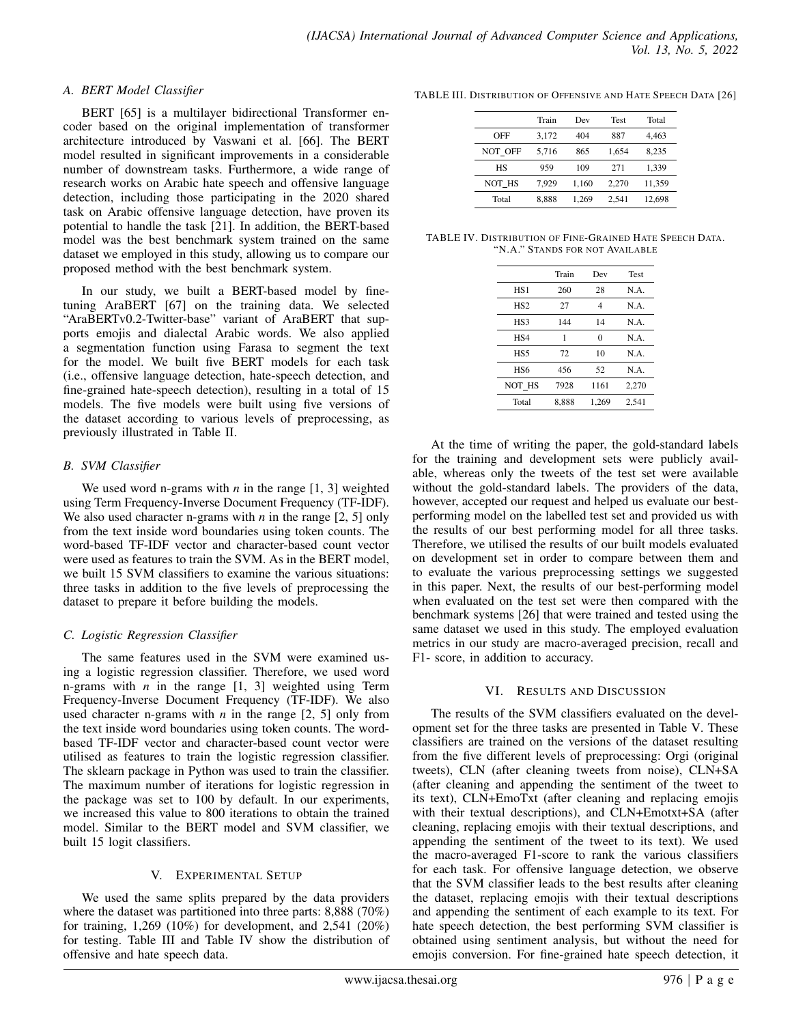### *A. BERT Model Classifier*

BERT [65] is a multilayer bidirectional Transformer encoder based on the original implementation of transformer architecture introduced by Vaswani et al. [66]. The BERT model resulted in significant improvements in a considerable number of downstream tasks. Furthermore, a wide range of research works on Arabic hate speech and offensive language detection, including those participating in the 2020 shared task on Arabic offensive language detection, have proven its potential to handle the task [21]. In addition, the BERT-based model was the best benchmark system trained on the same dataset we employed in this study, allowing us to compare our proposed method with the best benchmark system.

In our study, we built a BERT-based model by finetuning AraBERT [67] on the training data. We selected "AraBERTv0.2-Twitter-base" variant of AraBERT that supports emojis and dialectal Arabic words. We also applied a segmentation function using Farasa to segment the text for the model. We built five BERT models for each task (i.e., offensive language detection, hate-speech detection, and fine-grained hate-speech detection), resulting in a total of 15 models. The five models were built using five versions of the dataset according to various levels of preprocessing, as previously illustrated in Table II.

## *B. SVM Classifier*

We used word n-grams with  $n$  in the range  $[1, 3]$  weighted using Term Frequency-Inverse Document Frequency (TF-IDF). We also used character n-grams with *n* in the range [2, 5] only from the text inside word boundaries using token counts. The word-based TF-IDF vector and character-based count vector were used as features to train the SVM. As in the BERT model, we built 15 SVM classifiers to examine the various situations: three tasks in addition to the five levels of preprocessing the dataset to prepare it before building the models.

## *C. Logistic Regression Classifier*

The same features used in the SVM were examined using a logistic regression classifier. Therefore, we used word n-grams with  $n$  in the range  $\lceil 1, 3 \rceil$  weighted using Term Frequency-Inverse Document Frequency (TF-IDF). We also used character n-grams with  $n$  in the range  $[2, 5]$  only from the text inside word boundaries using token counts. The wordbased TF-IDF vector and character-based count vector were utilised as features to train the logistic regression classifier. The sklearn package in Python was used to train the classifier. The maximum number of iterations for logistic regression in the package was set to 100 by default. In our experiments, we increased this value to 800 iterations to obtain the trained model. Similar to the BERT model and SVM classifier, we built 15 logit classifiers.

## V. EXPERIMENTAL SETUP

We used the same splits prepared by the data providers where the dataset was partitioned into three parts: 8,888 (70%) for training, 1,269 (10%) for development, and 2,541 (20%) for testing. Table III and Table IV show the distribution of offensive and hate speech data.

TABLE III. DISTRIBUTION OF OFFENSIVE AND HATE SPEECH DATA [26]

|         | Train | Dev   | <b>Test</b> | Total  |
|---------|-------|-------|-------------|--------|
| OFF     | 3.172 | 404   | 887         | 4,463  |
| NOT OFF | 5.716 | 865   | 1.654       | 8.235  |
| НS      | 959   | 109   | 271         | 1.339  |
| NOT HS  | 7.929 | 1.160 | 2.270       | 11,359 |
| Total   | 8.888 | 1.269 | 2.541       | 12,698 |

TABLE IV. DISTRIBUTION OF FINE-GRAINED HATE SPEECH DATA. "N.A." STANDS FOR NOT AVAILABLE

| Train | Dev      | <b>Test</b> |
|-------|----------|-------------|
| 260   | 28       | N.A.        |
| 27    | 4        | N.A.        |
| 144   | 14       | N.A.        |
| 1     | $\Omega$ | N.A.        |
| 72    | 10       | N.A.        |
| 456   | 52       | N.A.        |
| 7928  | 1161     | 2.270       |
| 8.888 | 1.269    | 2.541       |
|       |          |             |

At the time of writing the paper, the gold-standard labels for the training and development sets were publicly available, whereas only the tweets of the test set were available without the gold-standard labels. The providers of the data, however, accepted our request and helped us evaluate our bestperforming model on the labelled test set and provided us with the results of our best performing model for all three tasks. Therefore, we utilised the results of our built models evaluated on development set in order to compare between them and to evaluate the various preprocessing settings we suggested in this paper. Next, the results of our best-performing model when evaluated on the test set were then compared with the benchmark systems [26] that were trained and tested using the same dataset we used in this study. The employed evaluation metrics in our study are macro-averaged precision, recall and F1- score, in addition to accuracy.

## VI. RESULTS AND DISCUSSION

The results of the SVM classifiers evaluated on the development set for the three tasks are presented in Table V. These classifiers are trained on the versions of the dataset resulting from the five different levels of preprocessing: Orgi (original tweets), CLN (after cleaning tweets from noise), CLN+SA (after cleaning and appending the sentiment of the tweet to its text), CLN+EmoTxt (after cleaning and replacing emojis with their textual descriptions), and CLN+Emotxt+SA (after cleaning, replacing emojis with their textual descriptions, and appending the sentiment of the tweet to its text). We used the macro-averaged F1-score to rank the various classifiers for each task. For offensive language detection, we observe that the SVM classifier leads to the best results after cleaning the dataset, replacing emojis with their textual descriptions and appending the sentiment of each example to its text. For hate speech detection, the best performing SVM classifier is obtained using sentiment analysis, but without the need for emojis conversion. For fine-grained hate speech detection, it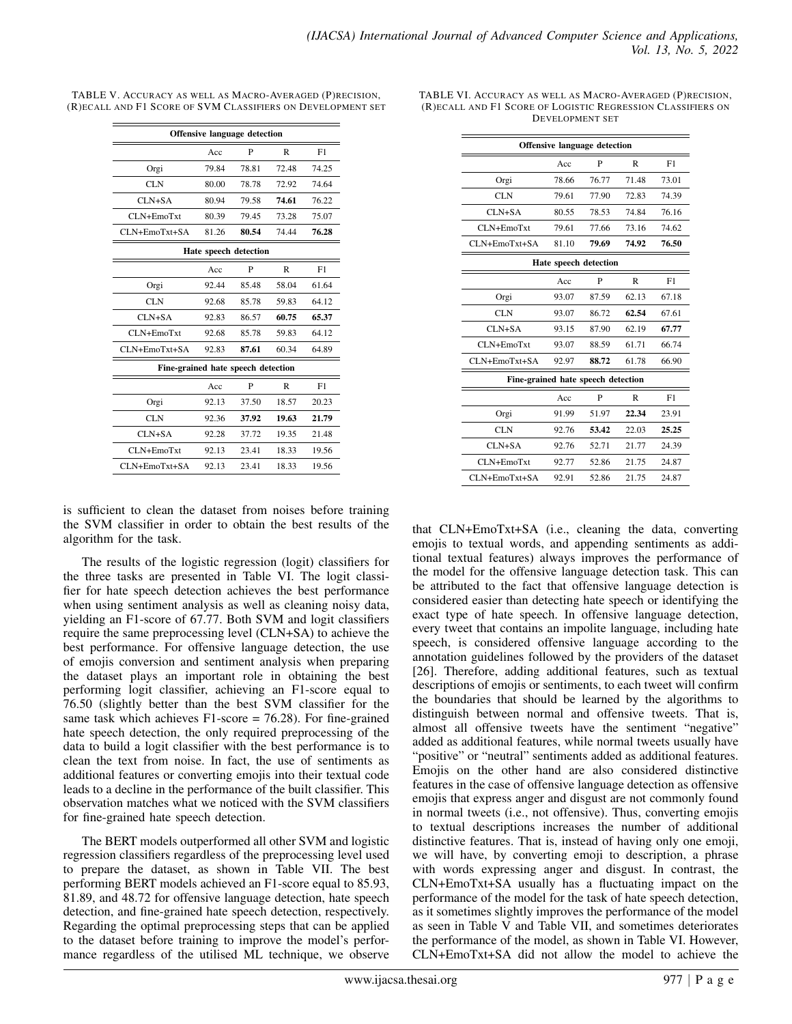| <b>Offensive language detection</b> |       |       |              |       |  |
|-------------------------------------|-------|-------|--------------|-------|--|
|                                     | Acc   | P     | $\mathbb{R}$ | F1    |  |
| Orgi                                | 79.84 | 78.81 | 72.48        | 74.25 |  |
| CLN                                 | 80.00 | 78.78 | 72.92        | 74.64 |  |
| $CLN+SA$                            | 80.94 | 79.58 | 74.61        | 76.22 |  |
| $CI.N + EmoTxt$                     | 80.39 | 79.45 | 73.28        | 75.07 |  |
| $CLN+EmoTxt+SA$                     | 81.26 | 80.54 | 74.44        | 76.28 |  |
| Hate speech detection               |       |       |              |       |  |
|                                     | Acc   | P     | R            | F1    |  |
| Orgi                                | 92.44 | 85.48 | 58.04        | 61.64 |  |
| CLN                                 | 92.68 | 85.78 | 59.83        | 64 12 |  |
| $CLN+SA$                            | 92.83 | 86.57 | 60.75        | 65.37 |  |
| CLN+EmoTxt                          | 92.68 | 85.78 | 59.83        | 64.12 |  |
| $CLN+EmoTxt+SA$                     | 92.83 | 87.61 | 60.34        | 64.89 |  |
| Fine-grained hate speech detection  |       |       |              |       |  |
|                                     | Acc   | P     | $\mathbb{R}$ | F1    |  |
| Orgi                                | 92.13 | 37.50 | 18.57        | 20.23 |  |
| <b>CLN</b>                          | 92.36 | 37.92 | 19.63        | 21.79 |  |
| $CLN+SA$                            | 92.28 | 37.72 | 19.35        | 21.48 |  |
| CLN+EmoTxt                          | 92.13 | 23.41 | 18.33        | 19.56 |  |
| $CI.N + EmoTxt + SA$                | 92.13 | 23.41 | 18.33        | 19.56 |  |

TABLE V. ACCURACY AS WELL AS MACRO-AVERAGED (P)RECISION, (R)ECALL AND F1 SCORE OF SVM CLASSIFIERS ON DEVELOPMENT SET TABLE VI. ACCURACY AS WELL AS MACRO-AVERAGED (P)RECISION, (R)ECALL AND F1 SCORE OF LOGISTIC REGRESSION CLASSIFIERS ON DEVELOPMENT SET

| <b>Offensive language detection</b> |       |       |              |       |  |
|-------------------------------------|-------|-------|--------------|-------|--|
|                                     | Acc   | P     | $\mathbb{R}$ | F1    |  |
| Orgi                                | 78.66 | 76.77 | 71.48        | 73.01 |  |
| <b>CLN</b>                          | 79.61 | 77.90 | 72.83        | 74.39 |  |
| $CLN+SA$                            | 80.55 | 78.53 | 74.84        | 76.16 |  |
| CLN+EmoTxt                          | 79.61 | 77.66 | 73.16        | 74.62 |  |
| CLN+EmoTxt+SA                       | 81.10 | 79.69 | 74.92        | 76.50 |  |
| Hate speech detection               |       |       |              |       |  |
|                                     | Acc   | P     | $\mathbb{R}$ | F1    |  |
| Orgi                                | 93.07 | 87.59 | 62.13        | 67.18 |  |
| <b>CLN</b>                          | 93.07 | 86.72 | 62.54        | 67.61 |  |
| $CLN+SA$                            | 93.15 | 87.90 | 62.19        | 67.77 |  |
| CLN+EmoTxt                          | 93.07 | 88.59 | 61.71        | 66.74 |  |
| CLN+EmoTxt+SA                       | 92.97 | 88.72 | 61.78        | 66.90 |  |
| Fine-grained hate speech detection  |       |       |              |       |  |
|                                     | Acc   | P     | $\mathbb{R}$ | F1    |  |
| Orgi                                | 91.99 | 51.97 | 22.34        | 23.91 |  |
| <b>CLN</b>                          | 92.76 | 53.42 | 22.03        | 25.25 |  |
| $CLN+SA$                            | 92.76 | 52.71 | 21.77        | 24.39 |  |
| CLN+EmoTxt                          | 92.77 | 52.86 | 21.75        | 24.87 |  |
| CLN+EmoTxt+SA                       | 92.91 | 52.86 | 21.75        | 24.87 |  |

is sufficient to clean the dataset from noises before training the SVM classifier in order to obtain the best results of the algorithm for the task.

The results of the logistic regression (logit) classifiers for the three tasks are presented in Table VI. The logit classifier for hate speech detection achieves the best performance when using sentiment analysis as well as cleaning noisy data, yielding an F1-score of 67.77. Both SVM and logit classifiers require the same preprocessing level (CLN+SA) to achieve the best performance. For offensive language detection, the use of emojis conversion and sentiment analysis when preparing the dataset plays an important role in obtaining the best performing logit classifier, achieving an F1-score equal to 76.50 (slightly better than the best SVM classifier for the same task which achieves  $F1$ -score = 76.28). For fine-grained hate speech detection, the only required preprocessing of the data to build a logit classifier with the best performance is to clean the text from noise. In fact, the use of sentiments as additional features or converting emojis into their textual code leads to a decline in the performance of the built classifier. This observation matches what we noticed with the SVM classifiers for fine-grained hate speech detection.

The BERT models outperformed all other SVM and logistic regression classifiers regardless of the preprocessing level used to prepare the dataset, as shown in Table VII. The best performing BERT models achieved an F1-score equal to 85.93, 81.89, and 48.72 for offensive language detection, hate speech detection, and fine-grained hate speech detection, respectively. Regarding the optimal preprocessing steps that can be applied to the dataset before training to improve the model's performance regardless of the utilised ML technique, we observe that CLN+EmoTxt+SA (i.e., cleaning the data, converting emojis to textual words, and appending sentiments as additional textual features) always improves the performance of the model for the offensive language detection task. This can be attributed to the fact that offensive language detection is considered easier than detecting hate speech or identifying the exact type of hate speech. In offensive language detection, every tweet that contains an impolite language, including hate speech, is considered offensive language according to the annotation guidelines followed by the providers of the dataset [26]. Therefore, adding additional features, such as textual descriptions of emojis or sentiments, to each tweet will confirm the boundaries that should be learned by the algorithms to distinguish between normal and offensive tweets. That is, almost all offensive tweets have the sentiment "negative" added as additional features, while normal tweets usually have "positive" or "neutral" sentiments added as additional features. Emojis on the other hand are also considered distinctive features in the case of offensive language detection as offensive emojis that express anger and disgust are not commonly found in normal tweets (i.e., not offensive). Thus, converting emojis to textual descriptions increases the number of additional distinctive features. That is, instead of having only one emoji, we will have, by converting emoji to description, a phrase with words expressing anger and disgust. In contrast, the CLN+EmoTxt+SA usually has a fluctuating impact on the performance of the model for the task of hate speech detection, as it sometimes slightly improves the performance of the model as seen in Table V and Table VII, and sometimes deteriorates the performance of the model, as shown in Table VI. However, CLN+EmoTxt+SA did not allow the model to achieve the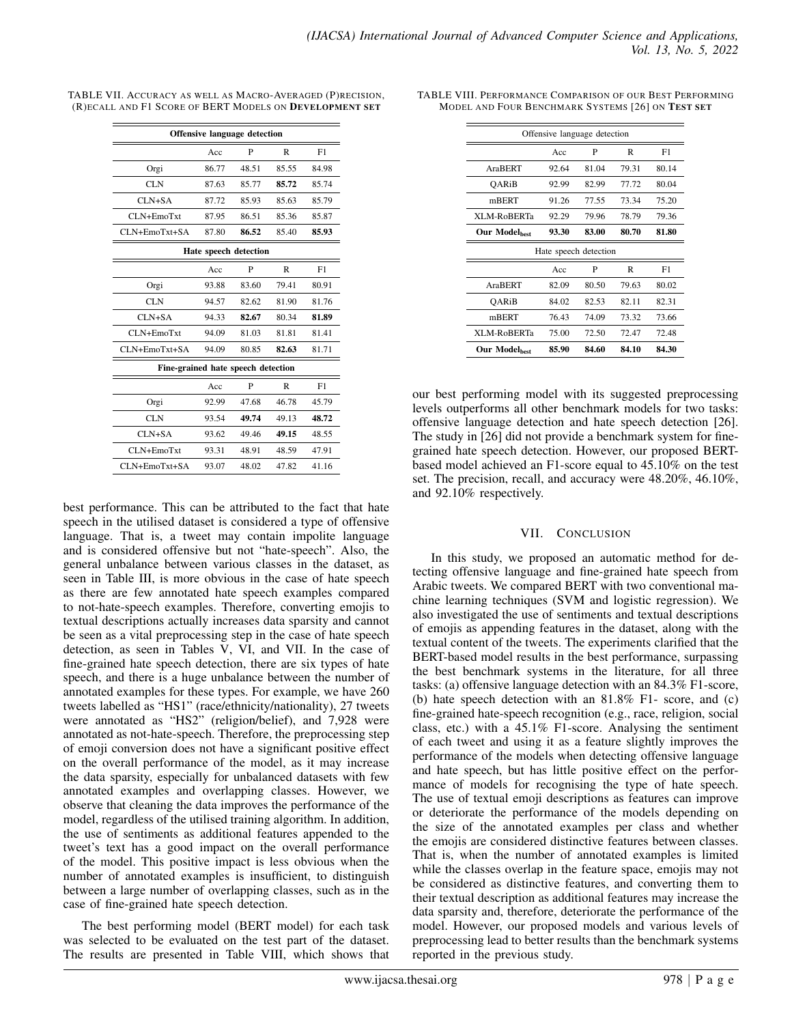| <b>Offensive language detection</b> |       |       |              |       |  |
|-------------------------------------|-------|-------|--------------|-------|--|
|                                     | Acc   | P     | $\mathbb{R}$ | F1    |  |
| Orgi                                | 86.77 | 48.51 | 85.55        | 84.98 |  |
| <b>CLN</b>                          | 87.63 | 85.77 | 85.72        | 85.74 |  |
| $CLN+SA$                            | 87.72 | 85.93 | 85.63        | 85.79 |  |
| CLN+EmoTxt                          | 87.95 | 86.51 | 85.36        | 85.87 |  |
| CLN+EmoTxt+SA                       | 87.80 | 86.52 | 85.40        | 85.93 |  |
| Hate speech detection               |       |       |              |       |  |
|                                     | Acc   | P     | $\mathbb{R}$ | F1    |  |
| Orgi                                | 93.88 | 83.60 | 79.41        | 80.91 |  |
| <b>CLN</b>                          | 94.57 | 82.62 | 81.90        | 81.76 |  |
| $CLN+SA$                            | 94.33 | 82.67 | 80.34        | 81.89 |  |
| CLN+EmoTxt                          | 94.09 | 81.03 | 81.81        | 81.41 |  |
| $CLN+EmoTxt+SA$                     | 94.09 | 80.85 | 82.63        | 81.71 |  |
| Fine-grained hate speech detection  |       |       |              |       |  |
|                                     | Acc   | P     | $\mathbb{R}$ | F1    |  |
| Orgi                                | 92.99 | 47.68 | 46.78        | 45.79 |  |
| CLN                                 | 93.54 | 49.74 | 49.13        | 48.72 |  |
| $CLN+SA$                            | 93.62 | 49.46 | 49.15        | 48.55 |  |
| CLN+EmoTxt                          | 93.31 | 48.91 | 48.59        | 47.91 |  |
| $CLN+EmoTxt+SA$                     | 93.07 | 48.02 | 47.82        | 41.16 |  |
|                                     |       |       |              |       |  |

TABLE VII. ACCURACY AS WELL AS MACRO-AVERAGED (P)RECISION, (R)ECALL AND F1 SCORE OF BERT MODELS ON DEVELOPMENT SET

best performance. This can be attributed to the fact that hate speech in the utilised dataset is considered a type of offensive language. That is, a tweet may contain impolite language and is considered offensive but not "hate-speech". Also, the general unbalance between various classes in the dataset, as seen in Table III, is more obvious in the case of hate speech as there are few annotated hate speech examples compared to not-hate-speech examples. Therefore, converting emojis to textual descriptions actually increases data sparsity and cannot be seen as a vital preprocessing step in the case of hate speech detection, as seen in Tables V, VI, and VII. In the case of fine-grained hate speech detection, there are six types of hate speech, and there is a huge unbalance between the number of annotated examples for these types. For example, we have 260 tweets labelled as "HS1" (race/ethnicity/nationality), 27 tweets were annotated as "HS2" (religion/belief), and 7,928 were annotated as not-hate-speech. Therefore, the preprocessing step of emoji conversion does not have a significant positive effect on the overall performance of the model, as it may increase the data sparsity, especially for unbalanced datasets with few annotated examples and overlapping classes. However, we observe that cleaning the data improves the performance of the model, regardless of the utilised training algorithm. In addition, the use of sentiments as additional features appended to the tweet's text has a good impact on the overall performance of the model. This positive impact is less obvious when the number of annotated examples is insufficient, to distinguish between a large number of overlapping classes, such as in the case of fine-grained hate speech detection.

The best performing model (BERT model) for each task was selected to be evaluated on the test part of the dataset. The results are presented in Table VIII, which shows that

| Offensive language detection |       |       |       |       |  |
|------------------------------|-------|-------|-------|-------|--|
|                              | Acc   | P     | R     | F1    |  |
| AraBERT                      | 92.64 | 81.04 | 79.31 | 80.14 |  |
| OARiB                        | 92.99 | 82.99 | 77.72 | 80.04 |  |
| mBERT                        | 91.26 | 77.55 | 73.34 | 75.20 |  |
| XLM-RoBERTa                  | 92.29 | 79.96 | 78.79 | 79.36 |  |
| Our Modelbest                | 93.30 | 83.00 | 80.70 | 81.80 |  |
| Hate speech detection        |       |       |       |       |  |
|                              | Acc   | P     | R     | F1    |  |
| AraBERT                      | 82.09 | 80.50 | 79.63 | 80.02 |  |
| OARiB                        | 84.02 | 82.53 | 82.11 | 82.31 |  |
| mBERT                        | 76.43 | 74.09 | 73.32 | 73.66 |  |
| XLM-RoBERTa                  | 75.00 | 72.50 | 72.47 | 72.48 |  |
|                              |       |       |       |       |  |

TABLE VIII. PERFORMANCE COMPARISON OF OUR BEST PERFORMING MODEL AND FOUR BENCHMARK SYSTEMS [26] ON TEST SET

our best performing model with its suggested preprocessing levels outperforms all other benchmark models for two tasks: offensive language detection and hate speech detection [26]. The study in [26] did not provide a benchmark system for finegrained hate speech detection. However, our proposed BERTbased model achieved an F1-score equal to 45.10% on the test set. The precision, recall, and accuracy were 48.20%, 46.10%, and 92.10% respectively.

## VII. CONCLUSION

In this study, we proposed an automatic method for detecting offensive language and fine-grained hate speech from Arabic tweets. We compared BERT with two conventional machine learning techniques (SVM and logistic regression). We also investigated the use of sentiments and textual descriptions of emojis as appending features in the dataset, along with the textual content of the tweets. The experiments clarified that the BERT-based model results in the best performance, surpassing the best benchmark systems in the literature, for all three tasks: (a) offensive language detection with an 84.3% F1-score, (b) hate speech detection with an 81.8% F1- score, and (c) fine-grained hate-speech recognition (e.g., race, religion, social class, etc.) with a 45.1% F1-score. Analysing the sentiment of each tweet and using it as a feature slightly improves the performance of the models when detecting offensive language and hate speech, but has little positive effect on the performance of models for recognising the type of hate speech. The use of textual emoji descriptions as features can improve or deteriorate the performance of the models depending on the size of the annotated examples per class and whether the emojis are considered distinctive features between classes. That is, when the number of annotated examples is limited while the classes overlap in the feature space, emojis may not be considered as distinctive features, and converting them to their textual description as additional features may increase the data sparsity and, therefore, deteriorate the performance of the model. However, our proposed models and various levels of preprocessing lead to better results than the benchmark systems reported in the previous study.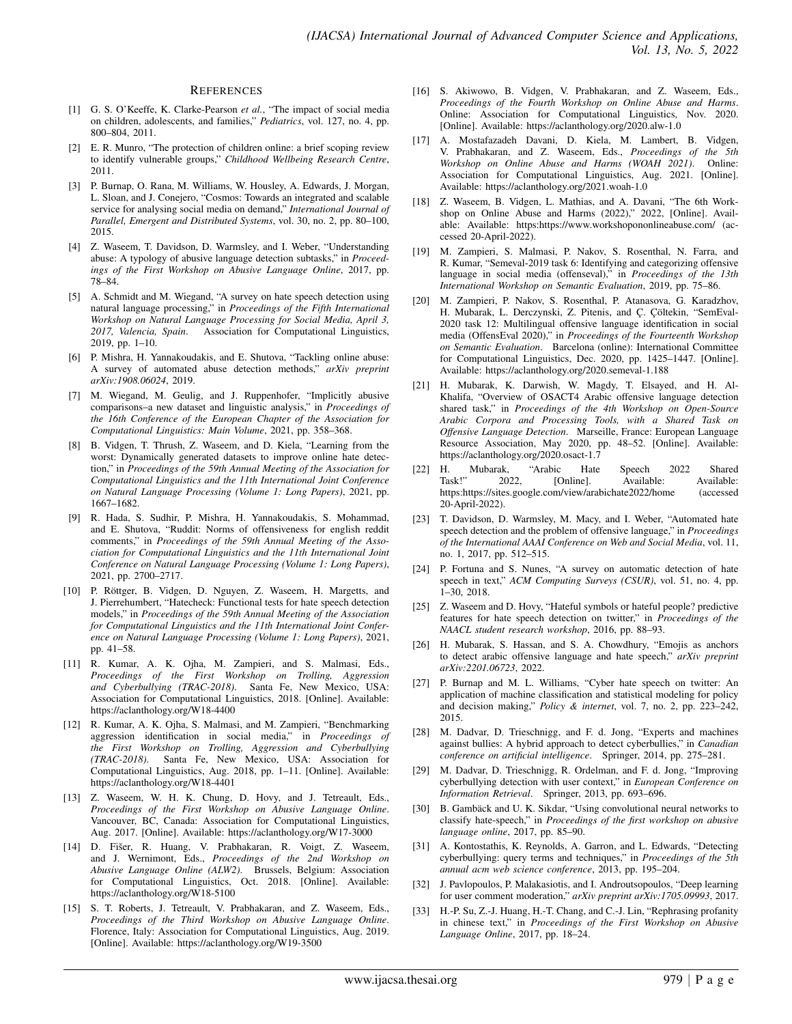#### **REFERENCES**

- [1] G. S. O'Keeffe, K. Clarke-Pearson *et al.*, "The impact of social media on children, adolescents, and families," *Pediatrics*, vol. 127, no. 4, pp. 800–804, 2011.
- [2] E. R. Munro, "The protection of children online: a brief scoping review to identify vulnerable groups," *Childhood Wellbeing Research Centre*, 2011.
- [3] P. Burnap, O. Rana, M. Williams, W. Housley, A. Edwards, J. Morgan, L. Sloan, and J. Conejero, "Cosmos: Towards an integrated and scalable service for analysing social media on demand," *International Journal of Parallel, Emergent and Distributed Systems*, vol. 30, no. 2, pp. 80–100, 2015.
- [4] Z. Waseem, T. Davidson, D. Warmsley, and I. Weber, "Understanding abuse: A typology of abusive language detection subtasks," in *Proceedings of the First Workshop on Abusive Language Online*, 2017, pp. 78–84.
- [5] A. Schmidt and M. Wiegand, "A survey on hate speech detection using natural language processing," in *Proceedings of the Fifth International Workshop on Natural Language Processing for Social Media, April 3, 2017, Valencia, Spain*. Association for Computational Linguistics, 2019, pp. 1–10.
- [6] P. Mishra, H. Yannakoudakis, and E. Shutova, "Tackling online abuse: A survey of automated abuse detection methods," *arXiv preprint arXiv:1908.06024*, 2019.
- [7] M. Wiegand, M. Geulig, and J. Ruppenhofer, "Implicitly abusive comparisons–a new dataset and linguistic analysis," in *Proceedings of the 16th Conference of the European Chapter of the Association for Computational Linguistics: Main Volume*, 2021, pp. 358–368.
- [8] B. Vidgen, T. Thrush, Z. Waseem, and D. Kiela, "Learning from the worst: Dynamically generated datasets to improve online hate detection," in *Proceedings of the 59th Annual Meeting of the Association for Computational Linguistics and the 11th International Joint Conference on Natural Language Processing (Volume 1: Long Papers)*, 2021, pp. 1667–1682.
- [9] R. Hada, S. Sudhir, P. Mishra, H. Yannakoudakis, S. Mohammad, and E. Shutova, "Ruddit: Norms of offensiveness for english reddit comments," in *Proceedings of the 59th Annual Meeting of the Association for Computational Linguistics and the 11th International Joint Conference on Natural Language Processing (Volume 1: Long Papers)*, 2021, pp. 2700–2717.
- [10] P. Röttger, B. Vidgen, D. Nguyen, Z. Waseem, H. Margetts, and J. Pierrehumbert, "Hatecheck: Functional tests for hate speech detection models," in *Proceedings of the 59th Annual Meeting of the Association for Computational Linguistics and the 11th International Joint Conference on Natural Language Processing (Volume 1: Long Papers)*, 2021, pp. 41–58.
- [11] R. Kumar, A. K. Ojha, M. Zampieri, and S. Malmasi, Eds., *Proceedings of the First Workshop on Trolling, Aggression and Cyberbullying (TRAC-2018)*. Santa Fe, New Mexico, USA: Association for Computational Linguistics, 2018. [Online]. Available: https://aclanthology.org/W18-4400
- [12] R. Kumar, A. K. Ojha, S. Malmasi, and M. Zampieri, "Benchmarking aggression identification in social media," in *Proceedings of the First Workshop on Trolling, Aggression and Cyberbullying (TRAC-2018)*. Santa Fe, New Mexico, USA: Association for Computational Linguistics, Aug. 2018, pp. 1–11. [Online]. Available: https://aclanthology.org/W18-4401
- [13] Z. Waseem, W. H. K. Chung, D. Hovy, and J. Tetreault, Eds., *Proceedings of the First Workshop on Abusive Language Online*. Vancouver, BC, Canada: Association for Computational Linguistics, Aug. 2017. [Online]. Available: https://aclanthology.org/W17-3000
- [14] D. Fišer, R. Huang, V. Prabhakaran, R. Voigt, Z. Waseem, and J. Wernimont, Eds., *Proceedings of the 2nd Workshop on Abusive Language Online (ALW2)*. Brussels, Belgium: Association for Computational Linguistics, Oct. 2018. [Online]. Available: https://aclanthology.org/W18-5100
- [15] S. T. Roberts, J. Tetreault, V. Prabhakaran, and Z. Waseem, Eds., *Proceedings of the Third Workshop on Abusive Language Online*. Florence, Italy: Association for Computational Linguistics, Aug. 2019. [Online]. Available: https://aclanthology.org/W19-3500
- [16] S. Akiwowo, B. Vidgen, V. Prabhakaran, and Z. Waseem, Eds., *Proceedings of the Fourth Workshop on Online Abuse and Harms*. Online: Association for Computational Linguistics, Nov. 2020. [Online]. Available: https://aclanthology.org/2020.alw-1.0
- [17] A. Mostafazadeh Davani, D. Kiela, M. Lambert, B. Vidgen, V. Prabhakaran, and Z. Waseem, Eds., *Proceedings of the 5th Workshop on Online Abuse and Harms (WOAH 2021)*. Online: Association for Computational Linguistics, Aug. 2021. [Online]. Available: https://aclanthology.org/2021.woah-1.0
- [18] Z. Waseem, B. Vidgen, L. Mathias, and A. Davani, "The 6th Workshop on Online Abuse and Harms (2022)," 2022, [Online]. Available: Available: https:https://www.workshopononlineabuse.com/ (accessed 20-April-2022).
- [19] M. Zampieri, S. Malmasi, P. Nakov, S. Rosenthal, N. Farra, and R. Kumar, "Semeval-2019 task 6: Identifying and categorizing offensive language in social media (offenseval)," in *Proceedings of the 13th International Workshop on Semantic Evaluation*, 2019, pp. 75–86.
- [20] M. Zampieri, P. Nakov, S. Rosenthal, P. Atanasova, G. Karadzhov, H. Mubarak, L. Derczynski, Z. Pitenis, and Ç. Çöltekin, "SemEval-2020 task 12: Multilingual offensive language identification in social media (OffensEval 2020)," in *Proceedings of the Fourteenth Workshop on Semantic Evaluation*. Barcelona (online): International Committee for Computational Linguistics, Dec. 2020, pp. 1425–1447. [Online]. Available: https://aclanthology.org/2020.semeval-1.188
- [21] H. Mubarak, K. Darwish, W. Magdy, T. Elsayed, and H. Al-Khalifa, "Overview of OSACT4 Arabic offensive language detection shared task," in *Proceedings of the 4th Workshop on Open-Source Arabic Corpora and Processing Tools, with a Shared Task on Offensive Language Detection*. Marseille, France: European Language Resource Association, May 2020, pp. 48–52. [Online]. Available: https://aclanthology.org/2020.osact-1.7
- [22] H. Mubarak, "Arabic Hate Speech 2022 Shared Available: https:https://sites.google.com/view/arabichate2022/home (accessed 20-April-2022).
- [23] T. Davidson, D. Warmsley, M. Macy, and I. Weber, "Automated hate speech detection and the problem of offensive language," in *Proceedings of the International AAAI Conference on Web and Social Media*, vol. 11, no. 1, 2017, pp. 512–515.
- [24] P. Fortuna and S. Nunes, "A survey on automatic detection of hate speech in text," *ACM Computing Surveys (CSUR)*, vol. 51, no. 4, pp. 1–30, 2018.
- [25] Z. Waseem and D. Hovy, "Hateful symbols or hateful people? predictive features for hate speech detection on twitter," in *Proceedings of the NAACL student research workshop*, 2016, pp. 88–93.
- [26] H. Mubarak, S. Hassan, and S. A. Chowdhury, "Emojis as anchors to detect arabic offensive language and hate speech," *arXiv preprint arXiv:2201.06723*, 2022.
- [27] P. Burnap and M. L. Williams, "Cyber hate speech on twitter: An application of machine classification and statistical modeling for policy and decision making," *Policy & internet*, vol. 7, no. 2, pp. 223–242, 2015.
- [28] M. Dadvar, D. Trieschnigg, and F. d. Jong, "Experts and machines against bullies: A hybrid approach to detect cyberbullies," in *Canadian conference on artificial intelligence*. Springer, 2014, pp. 275–281.
- [29] M. Dadvar, D. Trieschnigg, R. Ordelman, and F. d. Jong, "Improving cyberbullying detection with user context," in *European Conference on Information Retrieval*. Springer, 2013, pp. 693–696.
- [30] B. Gambäck and U. K. Sikdar, "Using convolutional neural networks to classify hate-speech," in *Proceedings of the first workshop on abusive language online*, 2017, pp. 85–90.
- [31] A. Kontostathis, K. Reynolds, A. Garron, and L. Edwards, "Detecting cyberbullying: query terms and techniques," in *Proceedings of the 5th annual acm web science conference*, 2013, pp. 195–204.
- [32] J. Pavlopoulos, P. Malakasiotis, and I. Androutsopoulos, "Deep learning for user comment moderation," *arXiv preprint arXiv:1705.09993*, 2017.
- [33] H.-P. Su, Z.-J. Huang, H.-T. Chang, and C.-J. Lin, "Rephrasing profanity in chinese text," in *Proceedings of the First Workshop on Abusive Language Online*, 2017, pp. 18–24.